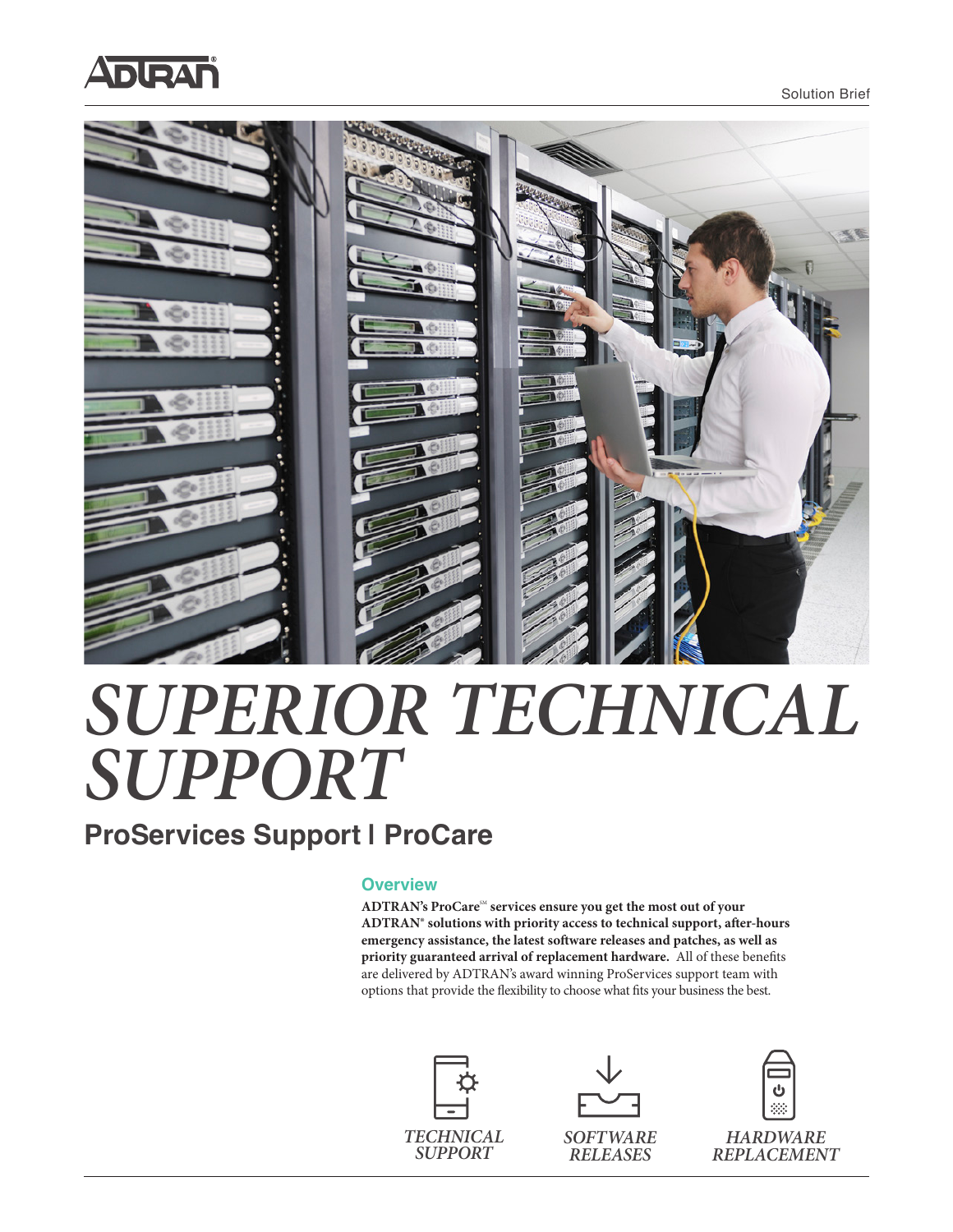



# *SUPERIOR TECHNICAL SUPPORT*

### **ProServices Support | ProCare**

#### **Overview**

ADTRAN's ProCare<sup>SM</sup> services ensure you get the most out of your **ADTRAN**® **solutions with priority access to technical support, after-hours emergency assistance, the latest software releases and patches, as well as priority guaranteed arrival of replacement hardware.** All of these benefits are delivered by ADTRAN's award winning ProServices support team with options that provide the flexibility to choose what fits your business the best.







*HARDWARE REPLACEMENT*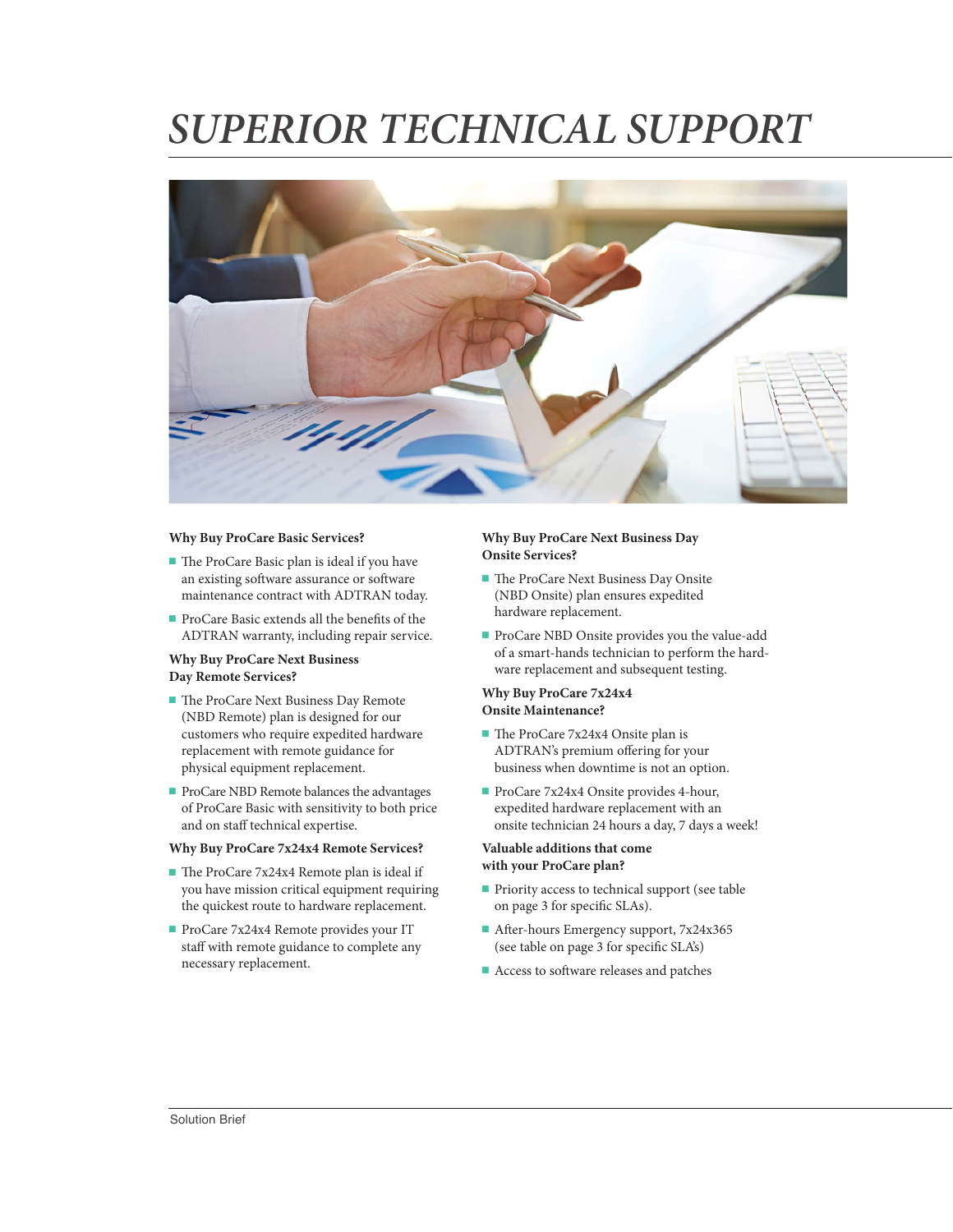## *SUPERIOR TECHNICAL SUPPORT*



#### **Why Buy ProCare Basic Services?**

- The ProCare Basic plan is ideal if you have an existing software assurance or software maintenance contract with ADTRAN today.
- ProCare Basic extends all the benefits of the ADTRAN warranty, including repair service.

#### **Why Buy ProCare Next Business Day Remote Services?**

- The ProCare Next Business Day Remote (NBD Remote) plan is designed for our customers who require expedited hardware replacement with remote guidance for physical equipment replacement.
- ProCare NBD Remote balances the advantages of ProCare Basic with sensitivity to both price and on staff technical expertise.

#### **Why Buy ProCare 7x24x4 Remote Services?**

- The ProCare 7x24x4 Remote plan is ideal if you have mission critical equipment requiring the quickest route to hardware replacement.
- ProCare 7x24x4 Remote provides your IT staff with remote guidance to complete any necessary replacement.

#### **Why Buy ProCare Next Business Day Onsite Services?**

- The ProCare Next Business Day Onsite (NBD Onsite) plan ensures expedited hardware replacement.
- ProCare NBD Onsite provides you the value-add of a smart-hands technician to perform the hardware replacement and subsequent testing.

#### **Why Buy ProCare 7x24x4 Onsite Maintenance?**

- The ProCare 7x24x4 Onsite plan is ADTRAN's premium offering for your business when downtime is not an option.
- ProCare 7x24x4 Onsite provides 4-hour, expedited hardware replacement with an onsite technician 24 hours a day, 7 days a week!

#### **Valuable additions that come with your ProCare plan?**

- Priority access to technical support (see table on page 3 for specific SLAs).
- After-hours Emergency support,  $7x24x365$ (see table on page 3 for specific SLA's)
- Access to software releases and patches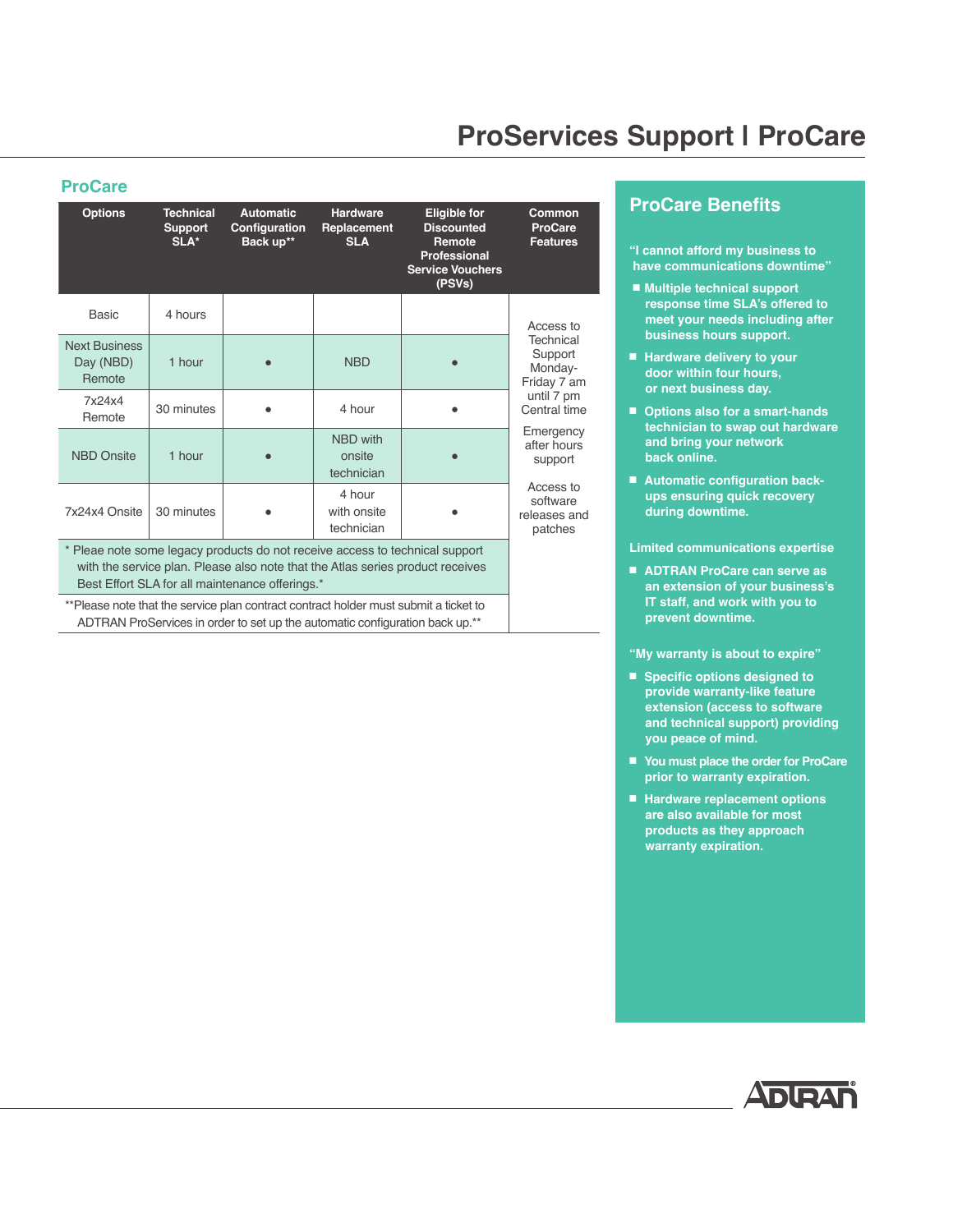## **ProServices Support | ProCare**

#### **ProCare**

| <b>Options</b>                                                                                                                                                                                                    | <b>Technical</b><br><b>Support</b><br>SLA* | <b>Automatic</b><br>Configuration<br>Back up** | <b>Hardware</b><br>Replacement<br><b>SLA</b> | <b>Eligible for</b><br><b>Discounted</b><br>Remote<br><b>Professional</b><br><b>Service Vouchers</b><br>(PSVs) | Common<br><b>ProCare</b><br><b>Features</b>                                               |
|-------------------------------------------------------------------------------------------------------------------------------------------------------------------------------------------------------------------|--------------------------------------------|------------------------------------------------|----------------------------------------------|----------------------------------------------------------------------------------------------------------------|-------------------------------------------------------------------------------------------|
| <b>Basic</b>                                                                                                                                                                                                      | 4 hours                                    |                                                |                                              |                                                                                                                | Access to<br>Technical<br>Support<br>Monday-<br>Friday 7 am<br>until 7 pm<br>Central time |
| <b>Next Business</b><br>Day (NBD)<br>Remote                                                                                                                                                                       | 1 hour                                     |                                                | <b>NBD</b>                                   |                                                                                                                |                                                                                           |
| 7x24x4<br>Remote                                                                                                                                                                                                  | 30 minutes                                 |                                                | 4 hour                                       |                                                                                                                |                                                                                           |
| <b>NBD Onsite</b>                                                                                                                                                                                                 | 1 hour                                     |                                                | <b>NBD</b> with<br>onsite<br>technician      |                                                                                                                | Emergency<br>after hours<br>support                                                       |
| 7x24x4 Onsite                                                                                                                                                                                                     | 30 minutes                                 |                                                | 4 hour<br>with onsite<br>technician          |                                                                                                                | Access to<br>software<br>releases and<br>patches                                          |
| * Pleae note some legacy products do not receive access to technical support<br>with the service plan. Please also note that the Atlas series product receives<br>Best Effort SLA for all maintenance offerings.* |                                            |                                                |                                              |                                                                                                                |                                                                                           |
| **Please note that the service plan contract contract holder must submit a ticket to<br>ADTRAN ProServices in order to set up the automatic configuration back up.**                                              |                                            |                                                |                                              |                                                                                                                |                                                                                           |

#### **ProCare Benefits**

**"I cannot afford my business to have communications downtime"** 

- Multiple technical support  **response time SLA's offered to meet your needs including after business hours support.**
- Hardware delivery to your  **door within four hours, or next business day.**
- Options also for a smart-hands  **technician to swap out hardware and bring your network back online.**
- Automatic configuration back **ups ensuring quick recovery during downtime.**

#### **Limited communications expertise**

■ **ADTRAN ProCare can serve as an extension of your business's IT staff, and work with you to prevent downtime.**

#### **"My warranty is about to expire"**

- Specific options designed to  **provide warranty-like feature extension (access to software and technical support) providing you peace of mind.**
- You must place the order for ProCare  **prior to warranty expiration.**
- Hardware replacement options  **are also available for most products as they approach warranty expiration.**